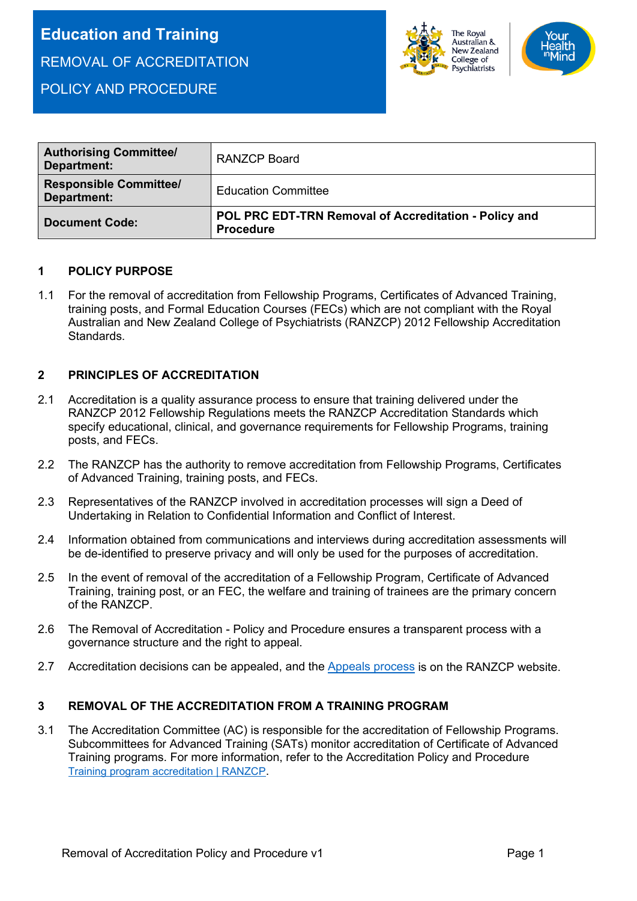# **Education and Training** REMOVAL OF ACCREDITATION POLICY AND PROCEDURE



| <b>Authorising Committee/</b><br>Department: | <b>RANZCP Board</b>                                                       |
|----------------------------------------------|---------------------------------------------------------------------------|
| <b>Responsible Committee/</b><br>Department: | <b>Education Committee</b>                                                |
| Document Code:                               | POL PRC EDT-TRN Removal of Accreditation - Policy and<br><b>Procedure</b> |

#### **1 POLICY PURPOSE**

1.1 For the removal of accreditation from Fellowship Programs, Certificates of Advanced Training, training posts, and Formal Education Courses (FECs) which are not compliant with the Royal Australian and New Zealand College of Psychiatrists (RANZCP) 2012 Fellowship Accreditation **Standards** 

#### **2 PRINCIPLES OF ACCREDITATION**

- 2.1 Accreditation is a quality assurance process to ensure that training delivered under the RANZCP 2012 Fellowship Regulations meets the RANZCP Accreditation Standards which specify educational, clinical, and governance requirements for Fellowship Programs, training posts, and FECs.
- 2.2 The RANZCP has the authority to remove accreditation from Fellowship Programs, Certificates of Advanced Training, training posts, and FECs.
- 2.3 Representatives of the RANZCP involved in accreditation processes will sign a Deed of Undertaking in Relation to Confidential Information and Conflict of Interest.
- 2.4 Information obtained from communications and interviews during accreditation assessments will be de-identified to preserve privacy and will only be used for the purposes of accreditation.
- 2.5 In the event of removal of the accreditation of a Fellowship Program, Certificate of Advanced Training, training post, or an FEC, the welfare and training of trainees are the primary concern of the RANZCP.
- 2.6 The Removal of Accreditation Policy and Procedure ensures a transparent process with a governance structure and the right to appeal.
- 2.7 Accreditation decisions can be appealed, and the [Appeals process](https://www.ranzcp.org/about-us/governance/governance-documents) is on the RANZCP website.

#### **3 REMOVAL OF THE ACCREDITATION FROM A TRAINING PROGRAM**

3.1 The Accreditation Committee (AC) is responsible for the accreditation of Fellowship Programs. Subcommittees for Advanced Training (SATs) monitor accreditation of Certificate of Advanced Training programs. For more information, refer to the Accreditation Policy and Procedure [Training program accreditation | RANZCP.](https://www.ranzcp.org/pre-fellowship/training-program-accreditation)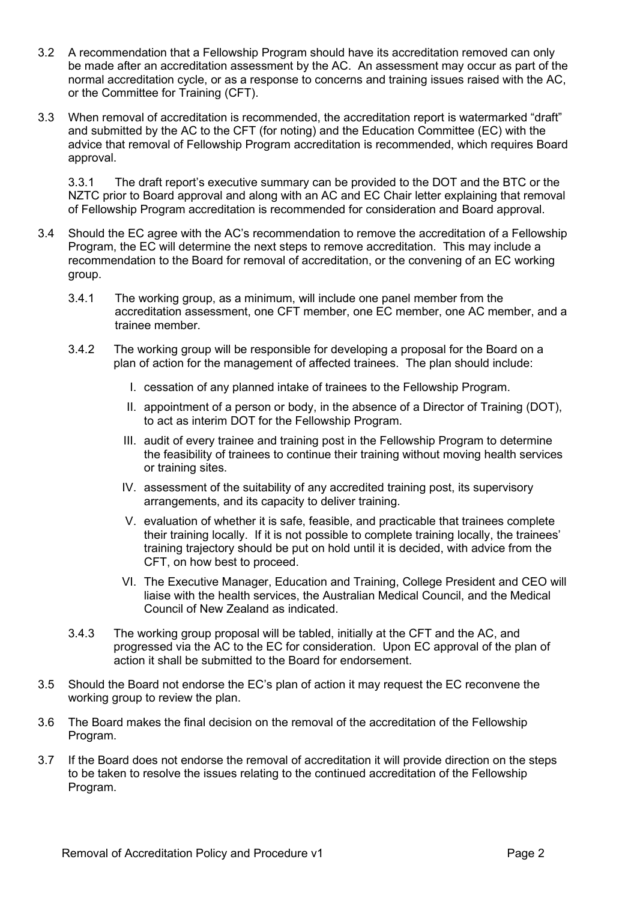- 3.2 A recommendation that a Fellowship Program should have its accreditation removed can only be made after an accreditation assessment by the AC. An assessment may occur as part of the normal accreditation cycle, or as a response to concerns and training issues raised with the AC, or the Committee for Training (CFT).
- 3.3 When removal of accreditation is recommended, the accreditation report is watermarked "draft" and submitted by the AC to the CFT (for noting) and the Education Committee (EC) with the advice that removal of Fellowship Program accreditation is recommended, which requires Board approval.

3.3.1 The draft report's executive summary can be provided to the DOT and the BTC or the NZTC prior to Board approval and along with an AC and EC Chair letter explaining that removal of Fellowship Program accreditation is recommended for consideration and Board approval.

- 3.4 Should the EC agree with the AC's recommendation to remove the accreditation of a Fellowship Program, the EC will determine the next steps to remove accreditation. This may include a recommendation to the Board for removal of accreditation, or the convening of an EC working group.
	- 3.4.1 The working group, as a minimum, will include one panel member from the accreditation assessment, one CFT member, one EC member, one AC member, and a trainee member.
	- 3.4.2 The working group will be responsible for developing a proposal for the Board on a plan of action for the management of affected trainees. The plan should include:
		- I. cessation of any planned intake of trainees to the Fellowship Program.
		- II. appointment of a person or body, in the absence of a Director of Training (DOT), to act as interim DOT for the Fellowship Program.
		- III. audit of every trainee and training post in the Fellowship Program to determine the feasibility of trainees to continue their training without moving health services or training sites.
		- IV. assessment of the suitability of any accredited training post, its supervisory arrangements, and its capacity to deliver training.
		- V. evaluation of whether it is safe, feasible, and practicable that trainees complete their training locally. If it is not possible to complete training locally, the trainees' training trajectory should be put on hold until it is decided, with advice from the CFT, on how best to proceed.
		- VI. The Executive Manager, Education and Training, College President and CEO will liaise with the health services, the Australian Medical Council, and the Medical Council of New Zealand as indicated.
	- 3.4.3 The working group proposal will be tabled, initially at the CFT and the AC, and progressed via the AC to the EC for consideration. Upon EC approval of the plan of action it shall be submitted to the Board for endorsement.
- 3.5 Should the Board not endorse the EC's plan of action it may request the EC reconvene the working group to review the plan.
- 3.6 The Board makes the final decision on the removal of the accreditation of the Fellowship Program.
- 3.7 If the Board does not endorse the removal of accreditation it will provide direction on the steps to be taken to resolve the issues relating to the continued accreditation of the Fellowship Program.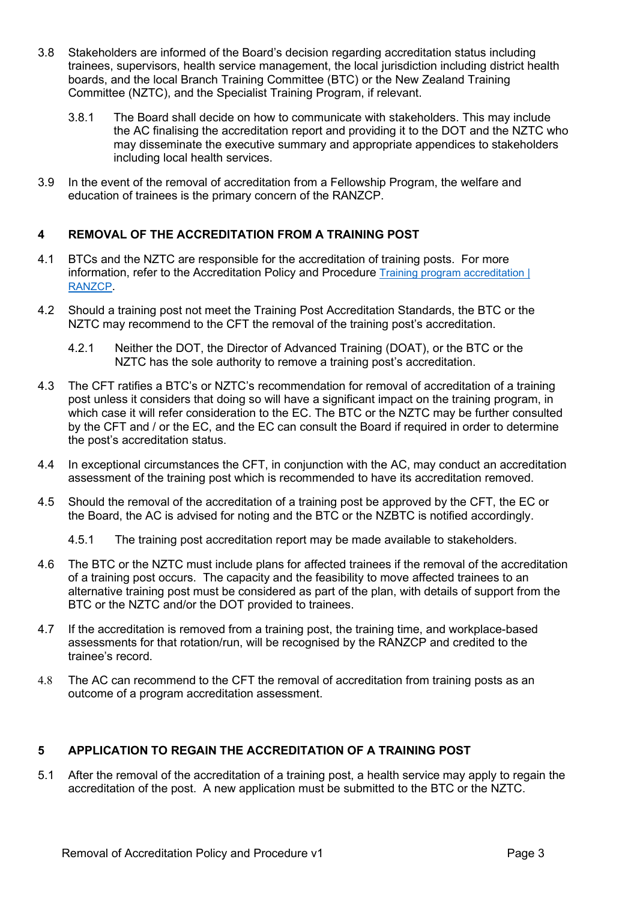- 3.8 Stakeholders are informed of the Board's decision regarding accreditation status including trainees, supervisors, health service management, the local jurisdiction including district health boards, and the local Branch Training Committee (BTC) or the New Zealand Training Committee (NZTC), and the Specialist Training Program, if relevant.
	- 3.8.1 The Board shall decide on how to communicate with stakeholders. This may include the AC finalising the accreditation report and providing it to the DOT and the NZTC who may disseminate the executive summary and appropriate appendices to stakeholders including local health services.
- 3.9 In the event of the removal of accreditation from a Fellowship Program, the welfare and education of trainees is the primary concern of the RANZCP.

# **4 REMOVAL OF THE ACCREDITATION FROM A TRAINING POST**

- 4.1 BTCs and the NZTC are responsible for the accreditation of training posts. For more information, refer to the Accreditation Policy and Procedure [Training program accreditation |](https://www.ranzcp.org/pre-fellowship/training-program-accreditation)  [RANZCP.](https://www.ranzcp.org/pre-fellowship/training-program-accreditation)
- 4.2 Should a training post not meet the Training Post Accreditation Standards, the BTC or the NZTC may recommend to the CFT the removal of the training post's accreditation.
	- 4.2.1 Neither the DOT, the Director of Advanced Training (DOAT), or the BTC or the NZTC has the sole authority to remove a training post's accreditation.
- 4.3 The CFT ratifies a BTC's or NZTC's recommendation for removal of accreditation of a training post unless it considers that doing so will have a significant impact on the training program, in which case it will refer consideration to the EC. The BTC or the NZTC may be further consulted by the CFT and / or the EC, and the EC can consult the Board if required in order to determine the post's accreditation status.
- 4.4 In exceptional circumstances the CFT, in conjunction with the AC, may conduct an accreditation assessment of the training post which is recommended to have its accreditation removed.
- 4.5 Should the removal of the accreditation of a training post be approved by the CFT, the EC or the Board, the AC is advised for noting and the BTC or the NZBTC is notified accordingly.
	- 4.5.1 The training post accreditation report may be made available to stakeholders.
- 4.6 The BTC or the NZTC must include plans for affected trainees if the removal of the accreditation of a training post occurs. The capacity and the feasibility to move affected trainees to an alternative training post must be considered as part of the plan, with details of support from the BTC or the NZTC and/or the DOT provided to trainees.
- 4.7 If the accreditation is removed from a training post, the training time, and workplace-based assessments for that rotation/run, will be recognised by the RANZCP and credited to the trainee's record.
- 4.8 The AC can recommend to the CFT the removal of accreditation from training posts as an outcome of a program accreditation assessment.

# **5 APPLICATION TO REGAIN THE ACCREDITATION OF A TRAINING POST**

5.1 After the removal of the accreditation of a training post, a health service may apply to regain the accreditation of the post. A new application must be submitted to the BTC or the NZTC.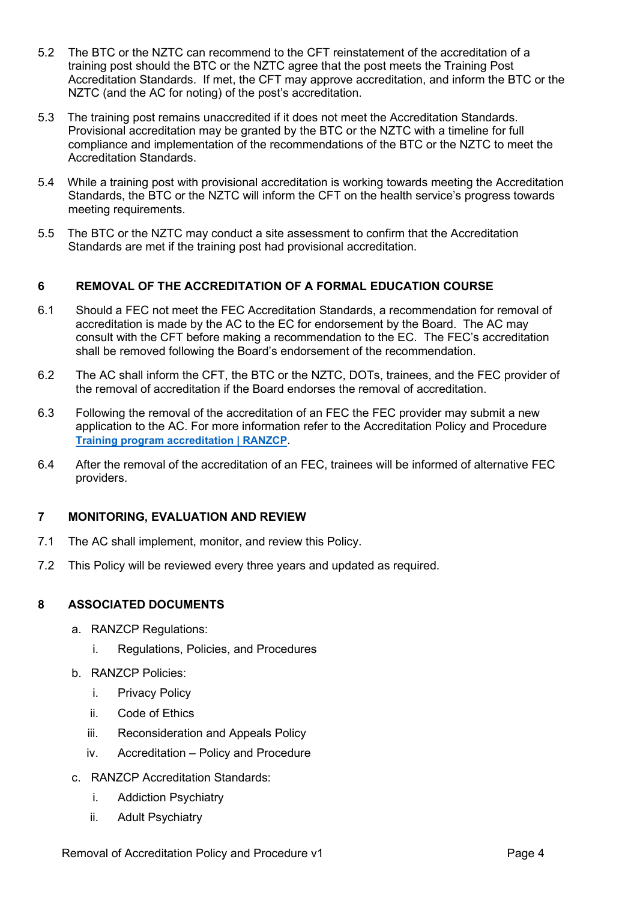- 5.2 The BTC or the NZTC can recommend to the CFT reinstatement of the accreditation of a training post should the BTC or the NZTC agree that the post meets the Training Post Accreditation Standards. If met, the CFT may approve accreditation, and inform the BTC or the NZTC (and the AC for noting) of the post's accreditation.
- 5.3 The training post remains unaccredited if it does not meet the Accreditation Standards. Provisional accreditation may be granted by the BTC or the NZTC with a timeline for full compliance and implementation of the recommendations of the BTC or the NZTC to meet the Accreditation Standards.
- 5.4 While a training post with provisional accreditation is working towards meeting the Accreditation Standards, the BTC or the NZTC will inform the CFT on the health service's progress towards meeting requirements.
- 5.5 The BTC or the NZTC may conduct a site assessment to confirm that the Accreditation Standards are met if the training post had provisional accreditation.

## **6 REMOVAL OF THE ACCREDITATION OF A FORMAL EDUCATION COURSE**

- 6.1 Should a FEC not meet the FEC Accreditation Standards, a recommendation for removal of accreditation is made by the AC to the EC for endorsement by the Board. The AC may consult with the CFT before making a recommendation to the EC. The FEC's accreditation shall be removed following the Board's endorsement of the recommendation.
- 6.2 The AC shall inform the CFT, the BTC or the NZTC, DOTs, trainees, and the FEC provider of the removal of accreditation if the Board endorses the removal of accreditation.
- 6.3 Following the removal of the accreditation of an FEC the FEC provider may submit a new application to the AC. For more information refer to the Accreditation Policy and Procedure **[Training program accreditation | RANZCP](https://www.ranzcp.org/pre-fellowship/training-program-accreditation)**.
- 6.4 After the removal of the accreditation of an FEC, trainees will be informed of alternative FEC providers.

## **7 MONITORING, EVALUATION AND REVIEW**

- 7.1 The AC shall implement, monitor, and review this Policy.
- 7.2 This Policy will be reviewed every three years and updated as required.

## **8 ASSOCIATED DOCUMENTS**

- a. RANZCP Regulations:
	- i. Regulations, Policies, and Procedures
- b. RANZCP Policies:
	- i. Privacy Policy
	- ii. Code of Ethics
	- iii. Reconsideration and Appeals Policy
	- iv. Accreditation Policy and Procedure
- c. RANZCP Accreditation Standards:
	- i. Addiction Psychiatry
	- ii. Adult Psychiatry

Removal of Accreditation Policy and Procedure v1 example 20 and Page 4